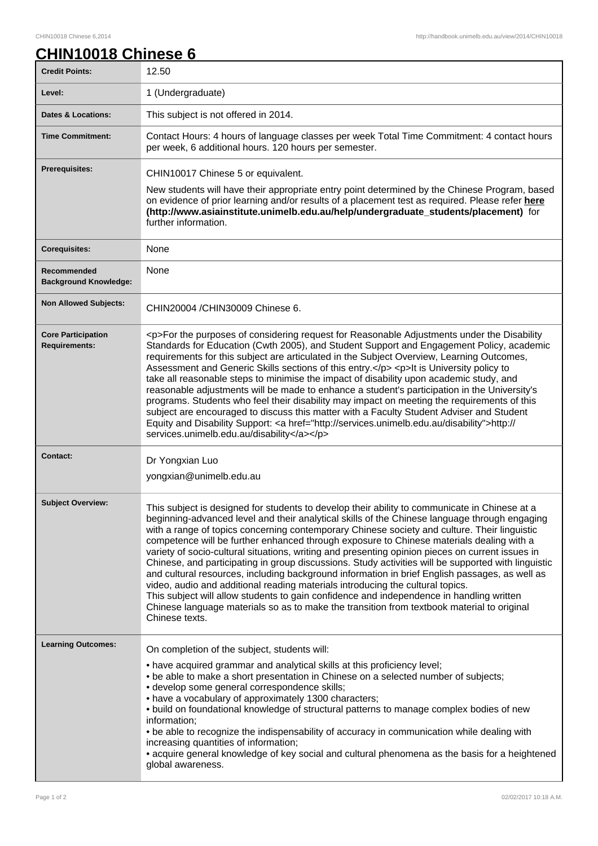## **CHIN10018 Chinese 6**

| <b>Credit Points:</b>                             | 12.50                                                                                                                                                                                                                                                                                                                                                                                                                                                                                                                                                                                                                                                                                                                                                                                                                                                                                                                                                                                                 |
|---------------------------------------------------|-------------------------------------------------------------------------------------------------------------------------------------------------------------------------------------------------------------------------------------------------------------------------------------------------------------------------------------------------------------------------------------------------------------------------------------------------------------------------------------------------------------------------------------------------------------------------------------------------------------------------------------------------------------------------------------------------------------------------------------------------------------------------------------------------------------------------------------------------------------------------------------------------------------------------------------------------------------------------------------------------------|
| Level:                                            | 1 (Undergraduate)                                                                                                                                                                                                                                                                                                                                                                                                                                                                                                                                                                                                                                                                                                                                                                                                                                                                                                                                                                                     |
| <b>Dates &amp; Locations:</b>                     | This subject is not offered in 2014.                                                                                                                                                                                                                                                                                                                                                                                                                                                                                                                                                                                                                                                                                                                                                                                                                                                                                                                                                                  |
| <b>Time Commitment:</b>                           | Contact Hours: 4 hours of language classes per week Total Time Commitment: 4 contact hours<br>per week, 6 additional hours. 120 hours per semester.                                                                                                                                                                                                                                                                                                                                                                                                                                                                                                                                                                                                                                                                                                                                                                                                                                                   |
| <b>Prerequisites:</b>                             | CHIN10017 Chinese 5 or equivalent.<br>New students will have their appropriate entry point determined by the Chinese Program, based<br>on evidence of prior learning and/or results of a placement test as required. Please refer here<br>(http://www.asiainstitute.unimelb.edu.au/help/undergraduate students/placement) for<br>further information.                                                                                                                                                                                                                                                                                                                                                                                                                                                                                                                                                                                                                                                 |
| <b>Corequisites:</b>                              | None                                                                                                                                                                                                                                                                                                                                                                                                                                                                                                                                                                                                                                                                                                                                                                                                                                                                                                                                                                                                  |
| Recommended<br><b>Background Knowledge:</b>       | None                                                                                                                                                                                                                                                                                                                                                                                                                                                                                                                                                                                                                                                                                                                                                                                                                                                                                                                                                                                                  |
| <b>Non Allowed Subjects:</b>                      | CHIN20004 / CHIN30009 Chinese 6.                                                                                                                                                                                                                                                                                                                                                                                                                                                                                                                                                                                                                                                                                                                                                                                                                                                                                                                                                                      |
| <b>Core Participation</b><br><b>Requirements:</b> | <p>For the purposes of considering request for Reasonable Adjustments under the Disability<br/>Standards for Education (Cwth 2005), and Student Support and Engagement Policy, academic<br/>requirements for this subject are articulated in the Subject Overview, Learning Outcomes,<br/>Assessment and Generic Skills sections of this entry.</p> <p>lt is University policy to<br/>take all reasonable steps to minimise the impact of disability upon academic study, and<br/>reasonable adjustments will be made to enhance a student's participation in the University's<br/>programs. Students who feel their disability may impact on meeting the requirements of this<br/>subject are encouraged to discuss this matter with a Faculty Student Adviser and Student<br/>Equity and Disability Support: &lt; a href="http://services.unimelb.edu.au/disability"&gt;http://<br/>services.unimelb.edu.au/disability</p>                                                                          |
| Contact:                                          | Dr Yongxian Luo<br>yongxian@unimelb.edu.au                                                                                                                                                                                                                                                                                                                                                                                                                                                                                                                                                                                                                                                                                                                                                                                                                                                                                                                                                            |
| <b>Subject Overview:</b>                          | This subject is designed for students to develop their ability to communicate in Chinese at a<br>beginning-advanced level and their analytical skills of the Chinese language through engaging<br>with a range of topics concerning contemporary Chinese society and culture. Their linguistic<br>competence will be further enhanced through exposure to Chinese materials dealing with a<br>variety of socio-cultural situations, writing and presenting opinion pieces on current issues in<br>Chinese, and participating in group discussions. Study activities will be supported with linguistic<br>and cultural resources, including background information in brief English passages, as well as<br>video, audio and additional reading materials introducing the cultural topics.<br>This subject will allow students to gain confidence and independence in handling written<br>Chinese language materials so as to make the transition from textbook material to original<br>Chinese texts. |
| <b>Learning Outcomes:</b>                         | On completion of the subject, students will:<br>• have acquired grammar and analytical skills at this proficiency level;<br>• be able to make a short presentation in Chinese on a selected number of subjects;<br>· develop some general correspondence skills;<br>• have a vocabulary of approximately 1300 characters;<br>. build on foundational knowledge of structural patterns to manage complex bodies of new<br>information;<br>. be able to recognize the indispensability of accuracy in communication while dealing with<br>increasing quantities of information;<br>• acquire general knowledge of key social and cultural phenomena as the basis for a heightened<br>global awareness.                                                                                                                                                                                                                                                                                                  |